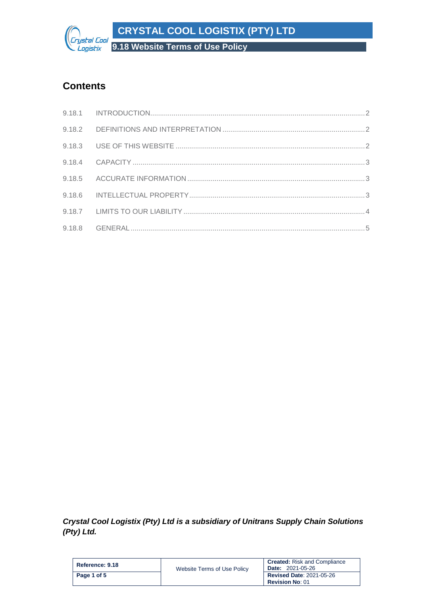**CRYSTAL COOL LOGISTIX (PTY) LTD**

**9.18 Website Terms of Use Policy**

# **Contents**

rystal Cool Logistix

*Crystal Cool Logistix (Pty) Ltd is a subsidiary of Unitrans Supply Chain Solutions (Pty) Ltd.*

| Reference: 9.18 | Website Terms of Use Policy | <b>Created:</b> Risk and Compliance<br><b>Date: 2021-05-26</b> |
|-----------------|-----------------------------|----------------------------------------------------------------|
| Page 1 of 5     |                             | <b>Revised Date: 2021-05-26</b><br><b>Revision No: 01</b>      |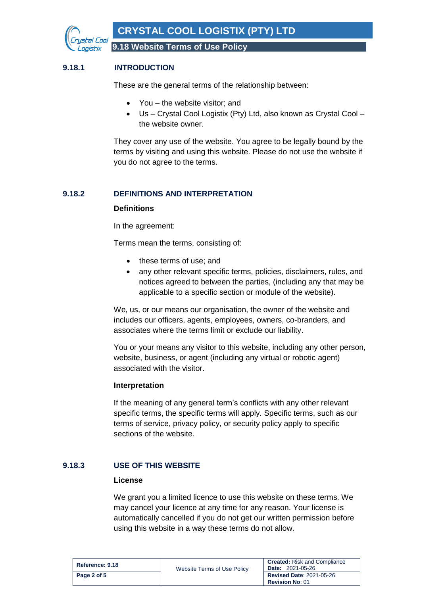

# <span id="page-1-0"></span>**9.18.1 INTRODUCTION**

These are the general terms of the relationship between:

- You the website visitor; and
- Us Crystal Cool Logistix (Pty) Ltd, also known as Crystal Cool the website owner.

They cover any use of the website. You agree to be legally bound by the terms by visiting and using this website. Please do not use the website if you do not agree to the terms.

# <span id="page-1-1"></span>**9.18.2 DEFINITIONS AND INTERPRETATION**

#### **Definitions**

In the agreement:

Terms mean the terms, consisting of:

- these terms of use; and
- any other relevant specific terms, policies, disclaimers, rules, and notices agreed to between the parties, (including any that may be applicable to a specific section or module of the website).

We, us, or our means our organisation, the owner of the website and includes our officers, agents, employees, owners, co-branders, and associates where the terms limit or exclude our liability.

You or your means any visitor to this website, including any other person, website, business, or agent (including any virtual or robotic agent) associated with the visitor.

## **Interpretation**

If the meaning of any general term's conflicts with any other relevant specific terms, the specific terms will apply. Specific terms, such as our terms of service, privacy policy, or security policy apply to specific sections of the website.

## <span id="page-1-2"></span>**9.18.3 USE OF THIS WEBSITE**

#### **License**

We grant you a limited licence to use this website on these terms. We may cancel your licence at any time for any reason. Your license is automatically cancelled if you do not get our written permission before using this website in a way these terms do not allow.

| Reference: 9.18 | Website Terms of Use Policy | <b>Created:</b> Risk and Compliance<br><b>Date: 2021-05-26</b> |
|-----------------|-----------------------------|----------------------------------------------------------------|
| Page 2 of 5     |                             | <b>Revised Date: 2021-05-26</b><br><b>Revision No: 01</b>      |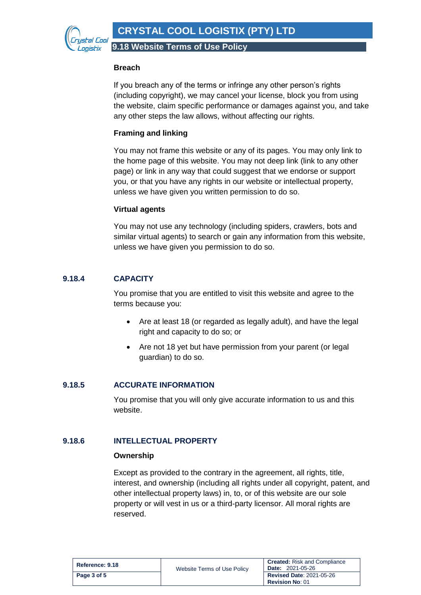

**9.18 Website Terms of Use Policy**

#### **Breach**

If you breach any of the terms or infringe any other person's rights (including copyright), we may cancel your license, block you from using the website, claim specific performance or damages against you, and take any other steps the law allows, without affecting our rights.

## **Framing and linking**

You may not frame this website or any of its pages. You may only link to the home page of this website. You may not deep link (link to any other page) or link in any way that could suggest that we endorse or support you, or that you have any rights in our website or intellectual property, unless we have given you written permission to do so.

## **Virtual agents**

You may not use any technology (including spiders, crawlers, bots and similar virtual agents) to search or gain any information from this website, unless we have given you permission to do so.

## <span id="page-2-0"></span>**9.18.4 CAPACITY**

You promise that you are entitled to visit this website and agree to the terms because you:

- Are at least 18 (or regarded as legally adult), and have the legal right and capacity to do so; or
- Are not 18 yet but have permission from your parent (or legal guardian) to do so.

## <span id="page-2-1"></span>**9.18.5 ACCURATE INFORMATION**

You promise that you will only give accurate information to us and this website.

## <span id="page-2-2"></span>**9.18.6 INTELLECTUAL PROPERTY**

#### **Ownership**

Except as provided to the contrary in the agreement, all rights, title, interest, and ownership (including all rights under all copyright, patent, and other intellectual property laws) in, to, or of this website are our sole property or will vest in us or a third-party licensor. All moral rights are reserved.

| Reference: 9.18 | Website Terms of Use Policy | <b>Created:</b> Risk and Compliance<br><b>Date: 2021-05-26</b> |
|-----------------|-----------------------------|----------------------------------------------------------------|
| Page 3 of 5     |                             | <b>Revised Date: 2021-05-26</b><br><b>Revision No: 01</b>      |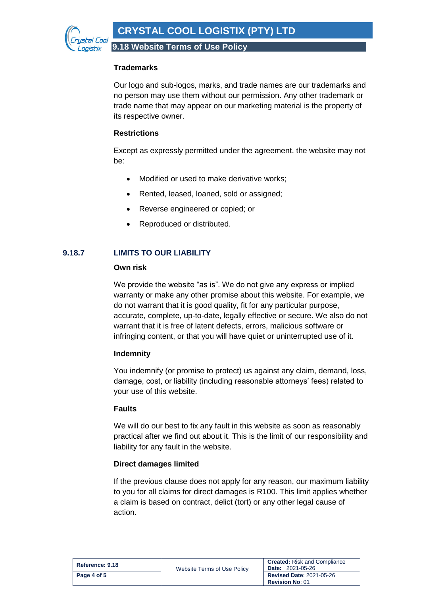Fal Con *onistix* 

**9.18 Website Terms of Use Policy**

## **Trademarks**

Our logo and sub-logos, marks, and trade names are our trademarks and no person may use them without our permission. Any other trademark or trade name that may appear on our marketing material is the property of its respective owner.

# **Restrictions**

Except as expressly permitted under the agreement, the website may not be:

- Modified or used to make derivative works:
- Rented, leased, loaned, sold or assigned;
- Reverse engineered or copied; or
- Reproduced or distributed.

# <span id="page-3-0"></span>**9.18.7 LIMITS TO OUR LIABILITY**

## **Own risk**

We provide the website "as is". We do not give any express or implied warranty or make any other promise about this website. For example, we do not warrant that it is good quality, fit for any particular purpose, accurate, complete, up-to-date, legally effective or secure. We also do not warrant that it is free of latent defects, errors, malicious software or infringing content, or that you will have quiet or uninterrupted use of it.

## **Indemnity**

You indemnify (or promise to protect) us against any claim, demand, loss, damage, cost, or liability (including reasonable attorneys' fees) related to your use of this website.

## **Faults**

We will do our best to fix any fault in this website as soon as reasonably practical after we find out about it. This is the limit of our responsibility and liability for any fault in the website.

## **Direct damages limited**

If the previous clause does not apply for any reason, our maximum liability to you for all claims for direct damages is R100. This limit applies whether a claim is based on contract, delict (tort) or any other legal cause of action.

| Reference: 9.18 | Website Terms of Use Policy | <b>Created:</b> Risk and Compliance<br><b>Date: 2021-05-26</b> |
|-----------------|-----------------------------|----------------------------------------------------------------|
| Page 4 of 5     |                             | <b>Revised Date: 2021-05-26</b><br><b>Revision No: 01</b>      |